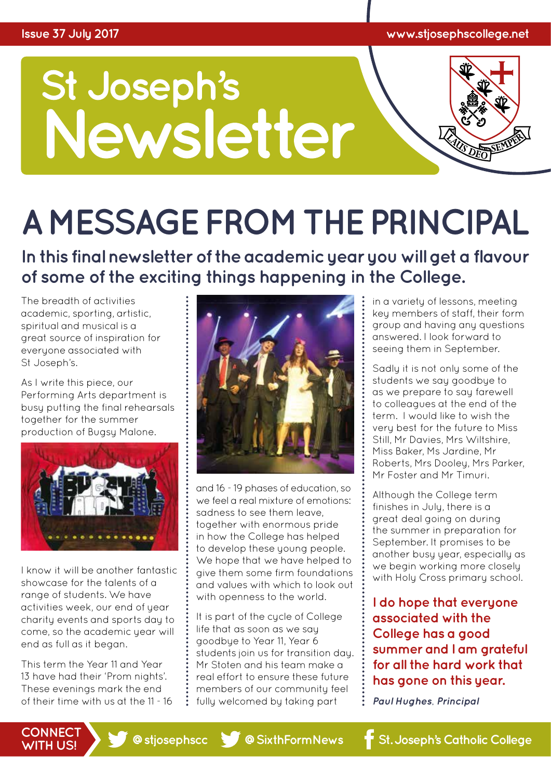

# **A MESSAGE FROM THE PRINCIPAL**

**In this final newsletter of the academic year you will get a flavour of some of the exciting things happening in the College.**

The breadth of activities academic, sporting, artistic, spiritual and musical is a great source of inspiration for everyone associated with St Joseph's.

As I write this piece, our Performing Arts department is busy putting the final rehearsals together for the summer production of Bugsy Malone.



I know it will be another fantastic showcase for the talents of a range of students. We have activities week, our end of year charity events and sports day to come, so the academic year will end as full as it began.

This term the Year 11 and Year 13 have had their 'Prom nights'. These evenings mark the end of their time with us at the 11 - 16



and 16 - 19 phases of education, so we feel a real mixture of emotions: sadness to see them leave, together with enormous pride in how the College has helped to develop these young people. We hope that we have helped to give them some firm foundations and values with which to look out with openness to the world.

It is part of the cycle of College life that as soon as we say goodbye to Year 11, Year 6 students join us for transition day. Mr Stoten and his team make a real effort to ensure these future members of our community feel fully welcomed by taking part

in a variety of lessons, meeting key members of staff, their form group and having any questions answered. I look forward to seeing them in September.

Sadly it is not only some of the students we say goodbye to as we prepare to say farewell to colleagues at the end of the term. I would like to wish the very best for the future to Miss Still, Mr Davies, Mrs Wiltshire, Miss Baker, Ms Jardine, Mr Roberts, Mrs Dooley, Mrs Parker, Mr Foster and Mr Timuri.

Although the College term finishes in July, there is a great deal going on during the summer in preparation for September. It promises to be another busy year, especially as we begin working more closely with Holy Cross primary school.

**I do hope that everyone associated with the College has a good summer and I am grateful for all the hard work that has gone on this year.** 

*Paul Hughes, Principal*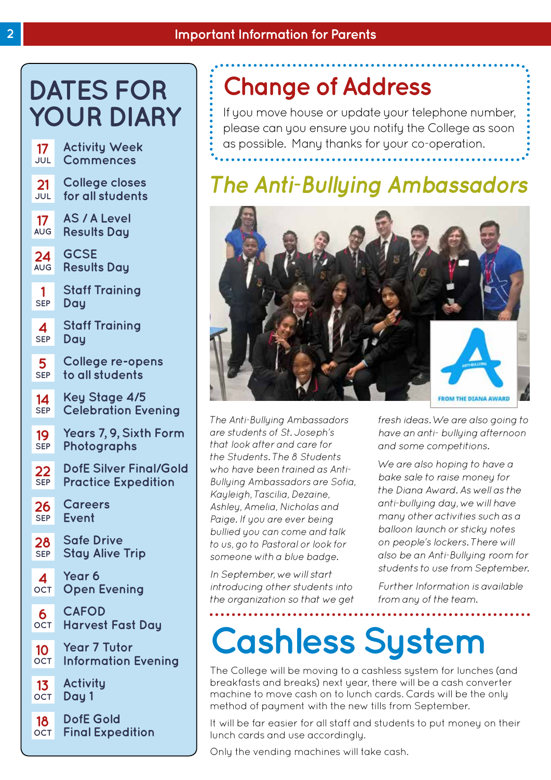# **DATES FOR YOUR DIARY**

| $17\,$     | <b>Activity Week</b>          |
|------------|-------------------------------|
| JUL        | <b>Commences</b>              |
| 21         | College closes                |
| <b>JUL</b> | for all students              |
| 17         | <b>AS / A Level</b>           |
| <b>AUG</b> | <b>Results Day</b>            |
| 24         | <b>GCSE</b>                   |
| <b>AUG</b> | <b>Results Day</b>            |
| 1          | Staff Training                |
| <b>SEP</b> | Day                           |
| 4          | Staff Training                |
| <b>SEP</b> | Day                           |
| 5          | College re-opens              |
| <b>SEP</b> | to all students               |
| 14         | Key Stage 4/5                 |
| <b>SEP</b> | <b>Celebration Evening</b>    |
| 19         | Years 7, 9, Sixth Form        |
| <b>SEP</b> | Photographs                   |
| 22         | <b>DofE Silver Final/Gold</b> |
| <b>SEP</b> | <b>Practice Expedition</b>    |
| 26         | <b>Careers</b>                |
| <b>SEP</b> | Event                         |
| 28         | <b>Safe Drive</b>             |
| <b>SEP</b> | <b>Stay Alive Trip</b>        |
| 4          | Year 6                        |
| <b>OCT</b> | <b>Open Evening</b>           |
| 6          | <b>CAFOD</b>                  |
| <b>OCT</b> | Harvest Fast Day              |
| 10         | <b>Year 7 Tutor</b>           |
| OCT        | <b>Information Evening</b>    |
| 13         | <b>Activity</b>               |
| <b>OCT</b> | Day 1                         |
| 18         | <b>DofE Gold</b>              |
| OCT        | <b>Final Expedition</b>       |

## **Change of Address**

If you move house or update your telephone number, please can you ensure you notify the College as soon as possible. Many thanks for your co-operation.

### *The Anti-Bullying Ambassadors*



*The Anti-Bullying Ambassadors are students of St. Joseph's that look after and care for the Students. The 8 Students who have been trained as Anti-Bullying Ambassadors are Sofia, Kayleigh, Tascilia, Dezaine, Ashley, Amelia, Nicholas and Paige. If you are ever being bullied you can come and talk to us, go to Pastoral or look for someone with a blue badge.*

*In September, we will start introducing other students into the organization so that we get*  *fresh ideas. We are also going to have an anti- bullying afternoon and some competitions.* 

*We are also hoping to have a bake sale to raise money for the Diana Award. As well as the anti-bullying day, we will have many other activities such as a balloon launch or sticky notes on people's lockers. There will also be an Anti-Bullying room for students to use from September.*

*Further Information is available from any of the team.*

# **Cashless System**

The College will be moving to a cashless system for lunches (and breakfasts and breaks) next year, there will be a cash converter machine to move cash on to lunch cards. Cards will be the only method of payment with the new tills from September.

It will be far easier for all staff and students to put money on their lunch cards and use accordingly.

Only the vending machines will take cash.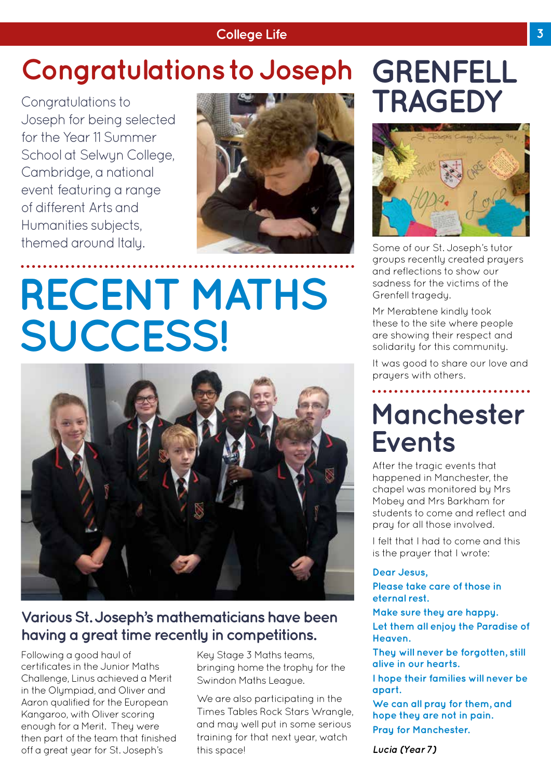#### **College Life 3**

# **Congratulations to Joseph GRENFELL**

Congratulations to Joseph for being selected for the Year 11 Summer School at Selwyn College, Cambridge, a national event featuring a range of different Arts and Humanities subjects, themed around Italy.



# **RECENT MATHS SUCCESS!**



### **Various St. Joseph's mathematicians have been having a great time recently in competitions.**

Following a good haul of certificates in the Junior Maths Challenge, Linus achieved a Merit in the Olympiad, and Oliver and Aaron qualified for the European Kangaroo, with Oliver scoring enough for a Merit. They were then part of the team that finished off a great year for St. Joseph's

Key Stage 3 Maths teams, bringing home the trophy for the Swindon Maths League.

We are also participating in the Times Tables Rock Stars Wrangle, and may well put in some serious training for that next year, watch this space!

# **TRAGEDY**



Some of our St. Joseph's tutor groups recently created prayers and reflections to show our sadness for the victims of the Grenfell tragedy.

Mr Merabtene kindly took these to the site where people are showing their respect and solidarity for this community.

It was good to share our love and prayers with others.

### **Manchester Events**

After the tragic events that happened in Manchester, the chapel was monitored by Mrs Mobey and Mrs Barkham for students to come and reflect and pray for all those involved.

I felt that I had to come and this is the prayer that I wrote:

#### **Dear Jesus,**

**Please take care of those in eternal rest.** 

**Make sure they are happy. Let them all enjoy the Paradise of Heaven.**

**They will never be forgotten, still alive in our hearts.**

**I hope their families will never be apart.**

**We can all pray for them, and hope they are not in pain. Pray for Manchester.**

*Lucia (Year 7)*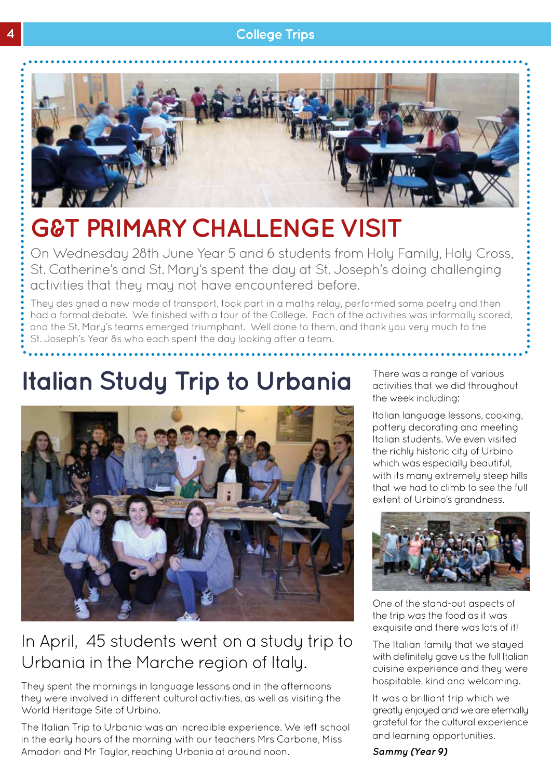#### **4 College Trips**



# **G&T PRIMARY CHALLENGE VISIT**

On Wednesday 28th June Year 5 and 6 students from Holy Family, Holy Cross, St. Catherine's and St. Mary's spent the day at St. Joseph's doing challenging activities that they may not have encountered before.

They designed a new mode of transport, took part in a maths relay, performed some poetry and then had a formal debate. We finished with a tour of the College. Each of the activities was informally scored, and the St. Mary's teams emerged triumphant. Well done to them, and thank you very much to the St. Joseph's Year 8s who each spent the day looking after a team.

### **Italian Study Trip to Urbania**



### In April, 45 students went on a study trip to Urbania in the Marche region of Italy.

They spent the mornings in language lessons and in the afternoons they were involved in different cultural activities, as well as visiting the World Heritage Site of Urbino.

The Italian Trip to Urbania was an incredible experience. We left school in the early hours of the morning with our teachers Mrs Carbone, Miss Amadori and Mr Taylor, reaching Urbania at around noon.

There was a range of various activities that we did throughout the week including:

Italian language lessons, cooking, pottery decorating and meeting Italian students. We even visited the richly historic city of Urbino which was especially beautiful, with its many extremely steep hills that we had to climb to see the full extent of Urbino's arandness.



One of the stand-out aspects of the trip was the food as it was exquisite and there was lots of it!

The Italian family that we stayed with definitely gave us the full Italian cuisine experience and they were hospitable, kind and welcoming.

It was a brilliant trip which we greatly enjoyed and we are eternally grateful for the cultural experience and learning opportunities.

*Sammy (Year 9)*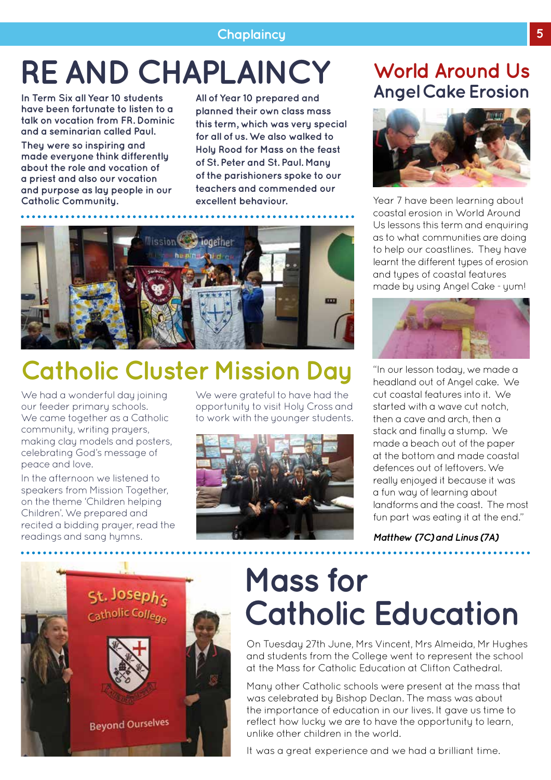### **Chaplaincy 5**

# **RE AND CHAPLAINCY**

**In Term Six all Year 10 students have been fortunate to listen to a talk on vocation from FR. Dominic and a seminarian called Paul. They were so inspiring and made everyone think differently about the role and vocation of a priest and also our vocation and purpose as lay people in our Catholic Community.** 

**All of Year 10 prepared and planned their own class mass this term, which was very special for all of us. We also walked to Holy Rood for Mass on the feast of St. Peter and St. Paul. Many of the parishioners spoke to our teachers and commended our excellent behaviour.**



### **Catholic Cluster Mission Day**

We had a wonderful day joining our feeder primary schools. We came together as a Catholic community, writing prayers, making clay models and posters, celebrating God's message of peace and love.

In the afternoon we listened to speakers from Mission Together, on the theme 'Children helping Children'. We prepared and recited a bidding prayer, read the readings and sang hymns.

We were grateful to have had the opportunity to visit Holy Cross and to work with the younger students.



### **World Around Us Angel Cake Erosion**



Year 7 have been learning about coastal erosion in World Around Us lessons this term and enquiring as to what communities are doing to help our coastlines. They have learnt the different types of erosion and types of coastal features made by using Angel Cake - yum!



"In our lesson today, we made a headland out of Angel cake. We cut coastal features into it. We started with a wave cut notch, then a cave and arch, then a stack and finally a stump. We made a beach out of the paper at the bottom and made coastal defences out of leftovers. We really enjoyed it because it was a fun way of learning about landforms and the coast. The most fun part was eating it at the end."

*Matthew (7C) and Linus (7A)*



# **Mass for Catholic Education**

On Tuesday 27th June, Mrs Vincent, Mrs Almeida, Mr Hughes and students from the College went to represent the school at the Mass for Catholic Education at Clifton Cathedral.

Many other Catholic schools were present at the mass that was celebrated by Bishop Declan. The mass was about the importance of education in our lives. It gave us time to reflect how lucky we are to have the opportunity to learn, unlike other children in the world.

It was a great experience and we had a brilliant time.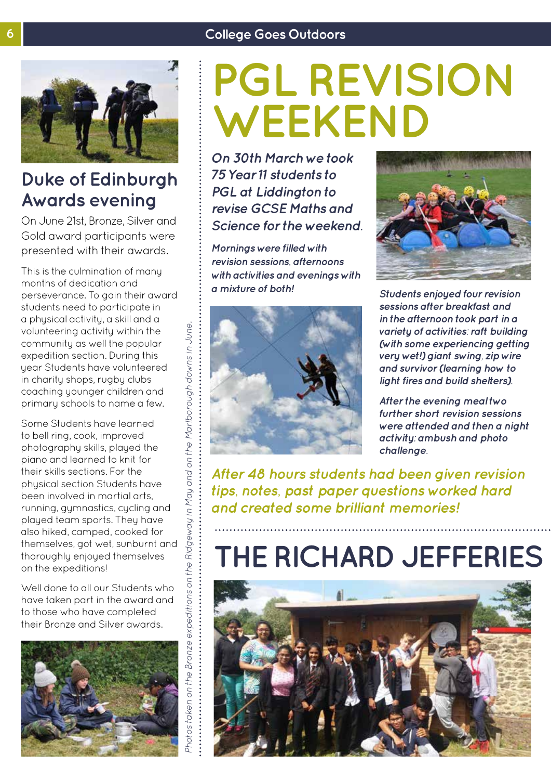#### **6 College Goes Outdoors**



### **Duke of Edinburgh Awards evening**

On June 21st, Bronze, Silver and Gold award participants were presented with their awards.

This is the culmination of many months of dedication and perseverance. To gain their award students need to participate in a physical activity, a skill and a volunteering activity within the community as well the popular expedition section. During this year Students have volunteered in charity shops, rugby clubs coaching younger children and primary schools to name a few.

Some Students have learned to bell ring, cook, improved photography skills, played the piano and learned to knit for their skills sections. For the physical section Students have been involved in martial arts, running, gymnastics, cycling and played team sports. They have also hiked, camped, cooked for themselves, got wet, sunburnt and thoroughly enjoyed themselves on the expeditions!

Well done to all our Students who have taken part in the award and to those who have completed their Bronze and Silver awards.



# **PGL REVISION WEEKEND**

*On 30th March we took 75 Year 11 students to PGL at Liddington to revise GCSE Maths and Science for the weekend.* 

*Mornings were filled with revision sessions, afternoons with activities and evenings with a mixture of both! Students enjoyed four revision* 





*sessions after breakfast and in the afternoon took part in a variety of activities: raft building (with some experiencing getting very wet!) giant swing, zip wire and survivor (learning how to light fires and build shelters).*

*After the evening meal two further short revision sessions were attended and then a night activity: ambush and photo challenge.*

*After 48 hours students had been given revision tips, notes, past paper questions worked hard and created some brilliant memories!*

# **THE RICHARD JEFFERIES**

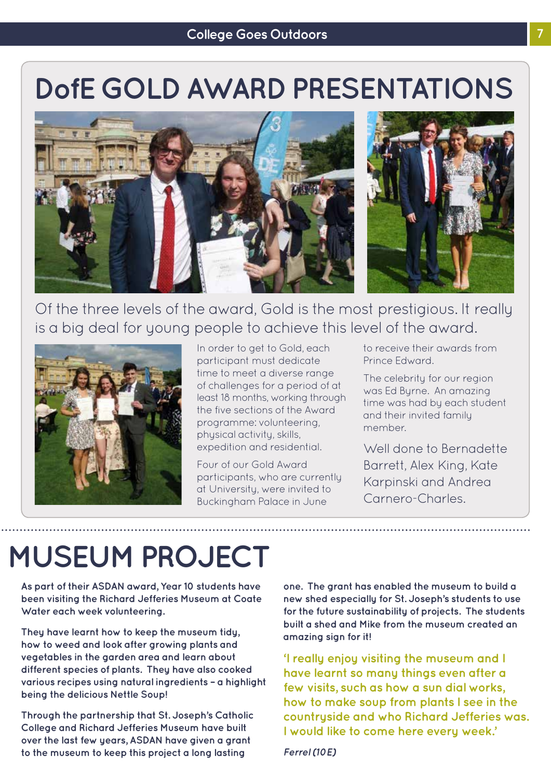# **DofE GOLD AWARD PRESENTATIONS**





### Of the three levels of the award, Gold is the most prestigious. It really is a big deal for young people to achieve this level of the award.



In order to get to Gold, each participant must dedicate time to meet a diverse range of challenges for a period of at least 18 months, working through the five sections of the Award programme: volunteering, physical activity, skills, expedition and residential.

Four of our Gold Award participants, who are currently at University, were invited to Buckingham Palace in June

to receive their awards from Prince Edward.

The celebrity for our region was Ed Byrne. An amazing time was had by each student and their invited family member.

Well done to Bernadette Barrett, Alex King, Kate Karpinski and Andrea Carnero-Charles.

# **MUSEUM PROJECT**

**As part of their ASDAN award, Year 10 students have been visiting the Richard Jefferies Museum at Coate Water each week volunteering.** 

**They have learnt how to keep the museum tidy, how to weed and look after growing plants and vegetables in the garden area and learn about different species of plants. They have also cooked various recipes using natural ingredients – a highlight being the delicious Nettle Soup!** 

**Through the partnership that St. Joseph's Catholic College and Richard Jefferies Museum have built over the last few years, ASDAN have given a grant to the museum to keep this project a long lasting** 

**one. The grant has enabled the museum to build a new shed especially for St. Joseph's students to use for the future sustainability of projects. The students built a shed and Mike from the museum created an amazing sign for it!** 

**'I really enjoy visiting the museum and I have learnt so many things even after a few visits, such as how a sun dial works, how to make soup from plants I see in the countryside and who Richard Jefferies was. I would like to come here every week.'**

*Ferrel (10E)*